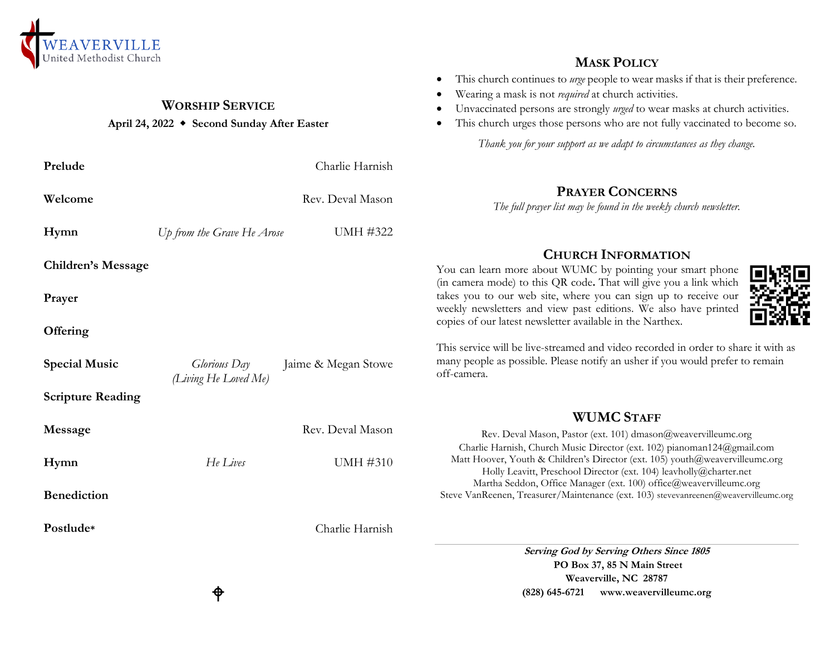

#### **WORSHIP SERVICE**

#### **April 24, 2022 Second Sunday After Easter**

| Prelude                   | Charlie Harnish<br>Rev. Deval Mason<br>The full pro |                     |                                                                         |
|---------------------------|-----------------------------------------------------|---------------------|-------------------------------------------------------------------------|
| Welcome                   |                                                     |                     |                                                                         |
| Hymn                      | Up from the Grave He Arose                          | UMH #322            |                                                                         |
| <b>Children's Message</b> |                                                     |                     | You can learn more a                                                    |
| Prayer                    |                                                     |                     | (in camera mode) to th<br>takes you to our web<br>weekly newsletters an |
| Offering                  |                                                     |                     | copies of our latest new                                                |
| <b>Special Music</b>      | <i>Glorious</i> Day<br>(Living He Loved Me)         | Jaime & Megan Stowe | This service will be live<br>many people as possib<br>off-camera.       |
| <b>Scripture Reading</b>  |                                                     |                     |                                                                         |
| Message                   |                                                     | Rev. Deval Mason    | Rev. Deval M<br>Charlie Harnish, Cl                                     |
| Hymn                      | He Lives                                            | <b>UMH #310</b>     | Matt Hoover, Youth<br>Holly Leavitt,                                    |
| <b>Benediction</b>        |                                                     |                     | Martha Seddon,<br>Steve VanReenen, Treas                                |
| Postlude*                 |                                                     | Charlie Harnish     |                                                                         |
|                           |                                                     |                     | $\sim$                                                                  |

### **MASK POLICY**

- This church continues to *urge* people to wear masks if that is their preference.
- Wearing a mask is not *required* at church activities.
- Unvaccinated persons are strongly *urged* to wear masks at church activities.
- This church urges those persons who are not fully vaccinated to become so.

*Thank you for your support as we adapt to circumstances as they change.*

# **PRAYER CONCERNS**

*The full prayer list may be found in the weekly church newsletter.*

# **CHURCH INFORMATION**

bout WUMC by pointing your smart phone his QR code. That will give you a link which site, where you can sign up to receive our d view past editions. We also have printed wsletter available in the Narthex.



e-streamed and video recorded in order to share it with as ble. Please notify an usher if you would prefer to remain

## **WUMC STAFF**

[ason, Pastor (ext. 101) dmason@weavervilleumc.org hurch Music Director (ext. 102) pianoman124@gmail.com & Children's Director (ext. 105) youth  $@$  weavervilleumc.org Preschool Director (ext. 104) leavholly@charter.net Office Manager (ext. 100) office@weavervilleumc.org surer/Maintenance (ext. 103) stevevanreenen@weavervilleumc.org

> **Serving God by Serving Others Since 1805 PO Box 37, 85 N Main Street Weaverville, NC 28787 (828) 645-6721 [www.weavervilleumc.org](http://www.weavervilleumc.org/)**